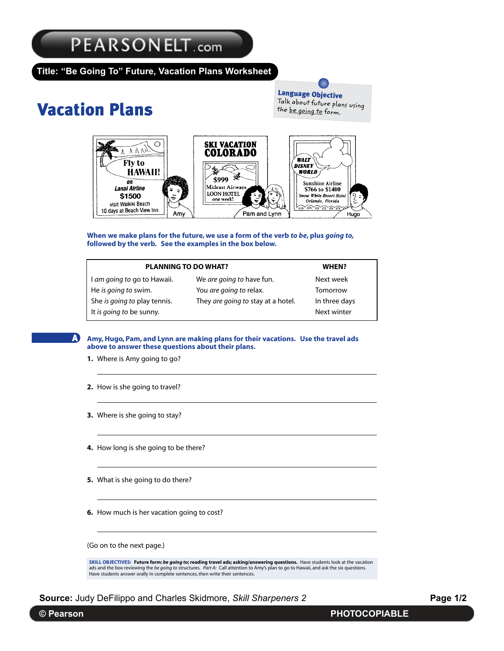## $\mathbb{R}$  Define A4004 19:24 Defi(SS2)U05v3.qxd 11/13/2004 19:24 Page 44

Unit 5 Vacation Plans

**"Be Going To" Future, Vacation Plans Worksheet Title:**

## **Massil Vacation Pl Vacation Plans**

Language Objective **Language Objective**<br>Talk about future plans using<br>the beaut the be going to form. the be going to form. tuture plans using<br>1 to form



When we make plans for the future, we use a form of the verb to be, plus going to, **followed by the verb. See the examples in the box below. followed by the verb. See the examples in the box below.**

|                              | <b>PLANNING TO DO WHAT?</b><br>WHEN? |               |  |  |
|------------------------------|--------------------------------------|---------------|--|--|
| I am going to go to Hawaii.  | We are going to have fun.            | Next week     |  |  |
| He is going to swim.         | You are going to relax.              | Tomorrow      |  |  |
| She is going to play tennis. | They are going to stay at a hotel.   | In three days |  |  |
| It is going to be sunny.     |                                      | Next winter   |  |  |

**Amy,Hugo, Pam, and Lynn are making plans for their vacations. Use the travel ads Amy,Hugo, Pam, and Lynn are making plans for their vacations. Use the travel ads above to answer these questions about their plans. above to answer these questions about their plans.** It *is going to* be sunny. Next winter

- **1.** Where is Amy going to go? **above to answer these questions about their plans.**
	- **2.** How is she going to travel? **2.** How is she going to travel?
	- **3.** Where is she going to stay? **3.** Where is she going to stay?
	- **4.** How long is she going to be there? **4.** How long is she going to be there?
	- **5.** What is she going to do there? **5.** What is she going to do there?
	- **6.** How much is her vacation going to cost? **6.** How much is her vacation going to cost?

(Go on to the next page.) (Go on to the next page.)

SKILL OBJECTIVES: Future form: be going to; reading travel ads; asking/answering questions. Have students look at the vacation and the box reviewing the be going to structures. Part A: Call attention to Amy's plan to go to Hawaii, and ask the six questions. Have students answer orally in complete sentences, then write their sentences. Have students answer orally in complete sentences, then write their sentences.

Source: Judy DeFilippo and Charles Skidmore, Skill Sharpeners 2

**Page 1/2**

A

**4.** How long is she going to be there?

**6.** How much is her vacation going to cost?

A